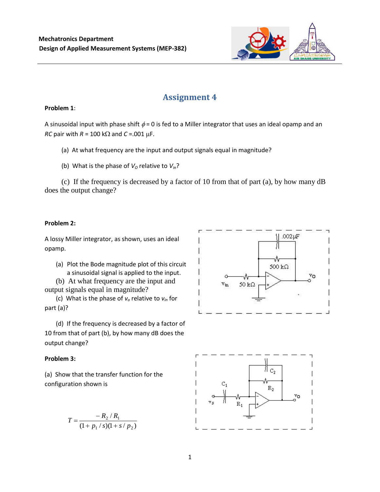

# **Assignment 4**

### **Problem 1**:

A sinusoidal input with phase shift  $\phi = 0$  is fed to a Miller integrator that uses an ideal opamp and an *RC* pair with  $R = 100$  k $\Omega$  and  $C = .001$   $\mu$ F.

(a) At what frequency are the input and output signals equal in magnitude?

(b) What is the phase of  $V<sub>O</sub>$  relative to  $V<sub>in</sub>$ ?

(c) If the frequency is decreased by a factor of 10 from that of part (a), by how many dB does the output change?

## **Problem 2:**

A lossy Miller integrator, as shown, uses an ideal opamp.

(a) Plot the Bode magnitude plot of this circuit a sinusoidal signal is applied to the input.

(b) At what frequency are the input and output signals equal in magnitude?

(c) What is the phase of *v<sup>o</sup>* relative to *vin* for part (a)?

(d) If the frequency is decreased by a factor of 10 from that of part (b), by how many dB does the output change?

# **Problem 3:**

(a) Show that the transfer function for the configuration shown is

$$
T = \frac{-R_2/R_1}{(1 + p_1/s)(1 + s/p_2)}
$$



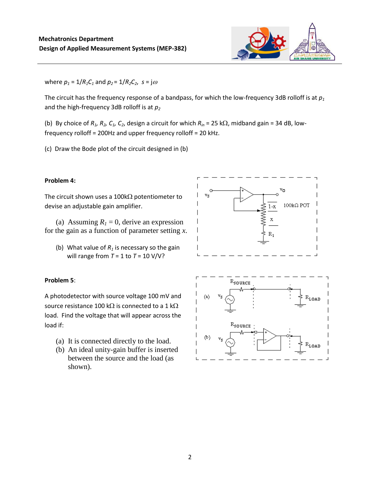

where  $p_1 = 1/R_1C_1$  and  $p_2 = 1/R_2C_2$ ,  $s = j\omega$ 

The circuit has the frequency response of a bandpass, for which the low-frequency 3dB rolloff is at *p<sup>1</sup>* and the high-frequency 3dB rolloff is at *p<sup>2</sup>*

(b) By choice of  $R_1$ ,  $R_2$ ,  $C_1$ ,  $C_2$ , design a circuit for which  $R_{in}$  = 25 k $\Omega$ , midband gain = 34 dB, lowfrequency rolloff = 200Hz and upper frequency rolloff = 20 kHz.

(c) Draw the Bode plot of the circuit designed in (b)

#### **Problem 4:**

The circuit shown uses a 100k $\Omega$  potentiometer to devise an adjustable gain amplifier.

(a) Assuming  $R<sub>l</sub> = 0$ , derive an expression for the gain as a function of parameter setting *x*.

(b) What value of  $R_1$  is necessary so the gain will range from *T* = 1 to *T* = 10 V/V?

#### **Problem 5**:

A photodetector with source voltage 100 mV and source resistance 100 k $\Omega$  is connected to a 1 k $\Omega$ load. Find the voltage that will appear across the load if:

- (a) It is connected directly to the load.
- (b) An ideal unity-gain buffer is inserted between the source and the load (as shown).